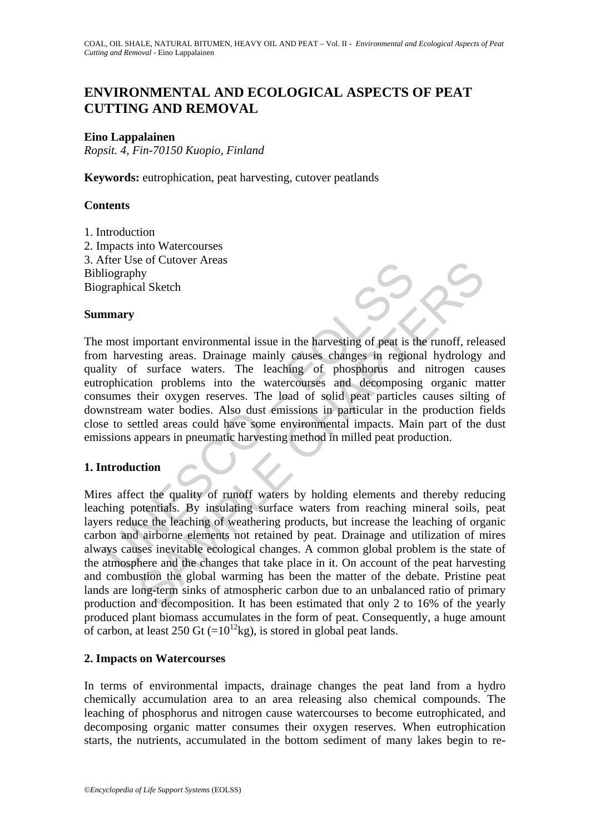# **ENVIRONMENTAL AND ECOLOGICAL ASPECTS OF PEAT CUTTING AND REMOVAL**

## **Eino Lappalainen**

*Ropsit. 4, Fin-70150 Kuopio, Finland* 

**Keywords:** eutrophication, peat harvesting, cutover peatlands

## **Contents**

1. Introduction 2. Impacts into Watercourses 3. After Use of Cutover Areas Bibliography Biographical Sketch

### **Summary**

The Unit of Seventhering and the control and the control and the control at the several in a harvesting areas. Drainage mainly causes changes in regionity of surface waters. The leaching of phosphorus and ophication proble The most important environmental issue in the harvesting of peat is the runoff, released from harvesting areas. Drainage mainly causes changes in regional hydrology and quality of surface waters. The leaching of phosphorus and nitrogen causes eutrophication problems into the watercourses and decomposing organic matter consumes their oxygen reserves. The load of solid peat particles causes silting of downstream water bodies. Also dust emissions in particular in the production fields close to settled areas could have some environmental impacts. Main part of the dust emissions appears in pneumatic harvesting method in milled peat production.

## **1. Introduction**

The or Cultover Areas<br>
and Sketch<br>
and Sketch<br>
and Sketch<br>
and Sketch<br>
and Sketch<br>
and Sketch<br>
and Sketch<br>
and Sketch<br>
comportant environmental issue in the harvesting of phosphorus and introgen cas<br>
ion problems into the Mires affect the quality of runoff waters by holding elements and thereby reducing leaching potentials. By insulating surface waters from reaching mineral soils, peat layers reduce the leaching of weathering products, but increase the leaching of organic carbon and airborne elements not retained by peat. Drainage and utilization of mires always causes inevitable ecological changes. A common global problem is the state of the atmosphere and the changes that take place in it. On account of the peat harvesting and combustion the global warming has been the matter of the debate. Pristine peat lands are long-term sinks of atmospheric carbon due to an unbalanced ratio of primary production and decomposition. It has been estimated that only 2 to 16% of the yearly produced plant biomass accumulates in the form of peat. Consequently, a huge amount of carbon, at least 250 Gt  $(=10^{12}$ kg), is stored in global peat lands.

### **2. Impacts on Watercourses**

In terms of environmental impacts, drainage changes the peat land from a hydro chemically accumulation area to an area releasing also chemical compounds. The leaching of phosphorus and nitrogen cause watercourses to become eutrophicated, and decomposing organic matter consumes their oxygen reserves. When eutrophication starts, the nutrients, accumulated in the bottom sediment of many lakes begin to re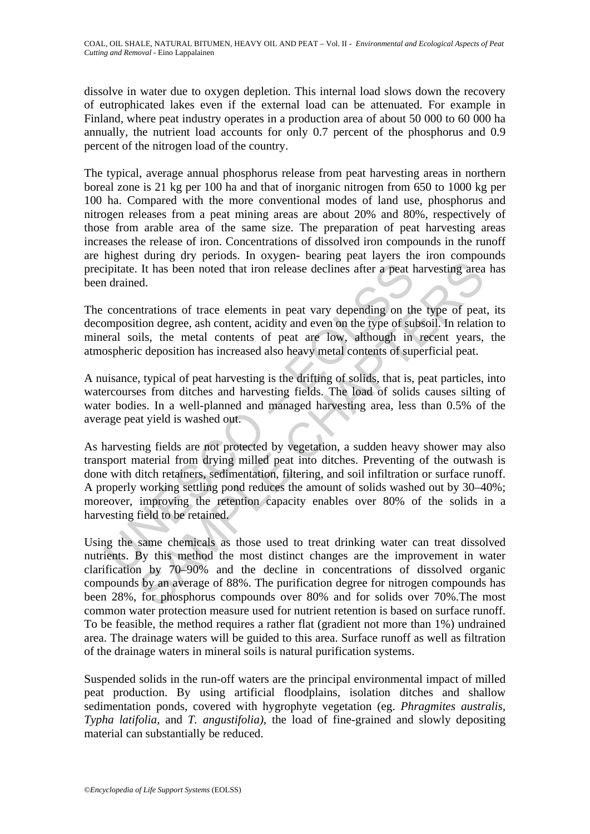dissolve in water due to oxygen depletion. This internal load slows down the recovery of eutrophicated lakes even if the external load can be attenuated. For example in Finland, where peat industry operates in a production area of about 50 000 to 60 000 ha annually, the nutrient load accounts for only 0.7 percent of the phosphorus and 0.9 percent of the nitrogen load of the country.

The typical, average annual phosphorus release from peat harvesting areas in northern boreal zone is 21 kg per 100 ha and that of inorganic nitrogen from 650 to 1000 kg per 100 ha. Compared with the more conventional modes of land use, phosphorus and nitrogen releases from a peat mining areas are about 20% and 80%, respectively of those from arable area of the same size. The preparation of peat harvesting areas increases the release of iron. Concentrations of dissolved iron compounds in the runoff are highest during dry periods. In oxygen- bearing peat layers the iron compounds precipitate. It has been noted that iron release declines after a peat harvesting area has been drained.

The concentrations of trace elements in peat vary depending on the type of peat, its decomposition degree, ash content, acidity and even on the type of subsoil. In relation to mineral soils, the metal contents of peat are low, although in recent years, the atmospheric deposition has increased also heavy metal contents of superficial peat.

A nuisance, typical of peat harvesting is the drifting of solids, that is, peat particles, into watercourses from ditches and harvesting fields. The load of solids causes silting of water bodies. In a well-planned and managed harvesting area, less than 0.5% of the average peat yield is washed out.

ipitate. It has been noted that iron release declines after a peat 1<br>of drained.<br>
1 drained.<br>
concentrations of trace elements in peat vary depending on the<br>
concentrations of trace elements, each content, acidity and even It has been noted that iron release declines after a peat harvesting area<br>It has been noted that iron release declines after a peat harvesting area<br>ed.<br>Intrations of trace elements in peat vary depending on the type of pe As harvesting fields are not protected by vegetation, a sudden heavy shower may also transport material from drying milled peat into ditches. Preventing of the outwash is done with ditch retainers, sedimentation, filtering, and soil infiltration or surface runoff. A properly working settling pond reduces the amount of solids washed out by 30–40%; moreover, improving the retention capacity enables over 80% of the solids in a harvesting field to be retained.

Using the same chemicals as those used to treat drinking water can treat dissolved nutrients. By this method the most distinct changes are the improvement in water clarification by 70–90% and the decline in concentrations of dissolved organic compounds by an average of 88%. The purification degree for nitrogen compounds has been 28%, for phosphorus compounds over 80% and for solids over 70%.The most common water protection measure used for nutrient retention is based on surface runoff. To be feasible, the method requires a rather flat (gradient not more than 1%) undrained area. The drainage waters will be guided to this area. Surface runoff as well as filtration of the drainage waters in mineral soils is natural purification systems.

Suspended solids in the run-off waters are the principal environmental impact of milled peat production. By using artificial floodplains, isolation ditches and shallow sedimentation ponds, covered with hygrophyte vegetation (eg. *Phragmites australis, Typha latifolia,* and *T. angustifolia)*, the load of fine-grained and slowly depositing material can substantially be reduced.